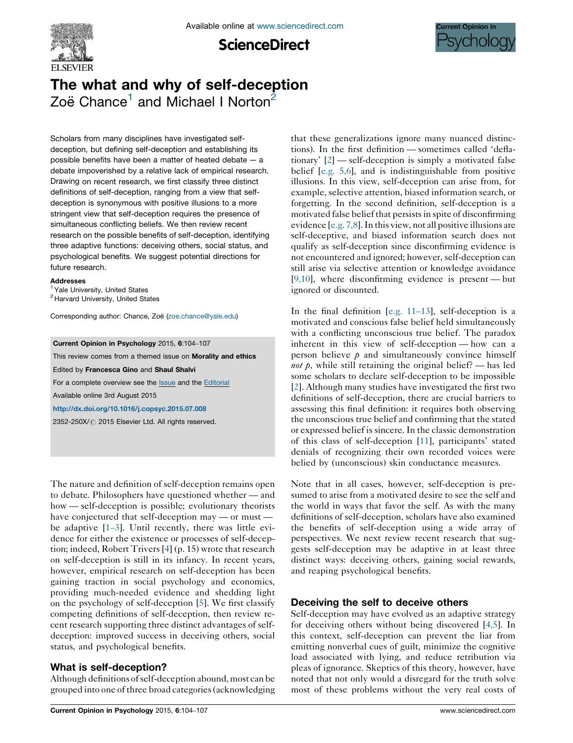

**ScienceDirect** 



# The what and why of self-deception Zoë Chance<sup>1</sup> and Michael I Norton<sup>2</sup>

Scholars from many disciplines have investigated selfdeception, but defining self-deception and establishing its possible benefits have been a matter of heated debate — a debate impoverished by a relative lack of empirical research. Drawing on recent research, we first classify three distinct definitions of self-deception, ranging from a view that selfdeception is synonymous with positive illusions to a more stringent view that self-deception requires the presence of simultaneous conflicting beliefs. We then review recent research on the possible benefits of self-deception, identifying three adaptive functions: deceiving others, social status, and psychological benefits. We suggest potential directions for future research.

#### Addresses

<sup>1</sup> Yale University, United States

<sup>2</sup> Harvard University, United States

Corresponding author: Chance, Zoë ([zoe.chance@yale.edu\)](mailto:zoe.chance@yale.edu)

#### Current Opinion in Psychology 2015, 6:104–107

This review comes from a themed issue on Morality and ethics

Edited by Francesca Gino and Shaul Shalvi

For a complete overview see the **[Issue](http://www.sciencedirect.com/science/journal/2352250X/6)** and the [Editorial](http://dx.doi.org/10.1016/j.copsyc.2015.11.001)

Available online 3rd August 2015

<http://dx.doi.org/10.1016/j.copsyc.2015.07.008>

2352-250X/ 2015 Elsevier Ltd. All rights reserved.

The nature and definition of self-deception remains open to debate. Philosophers have questioned whether — and how — self-deception is possible; evolutionary theorists have conjectured that self-deception may — or must be adaptive [1–[3\]](#page-2-0). Until recently, there was little evidence for either the existence or processes of self-deception; indeed, Robert Trivers[\[4](#page-2-0)] (p. 15) wrote that research on self-deception is still in its infancy. In recent years, however, empirical research on self-deception has been gaining traction in social psychology and economics, providing much-needed evidence and shedding light on the psychology of self-deception [[5\]](#page-2-0). We first classify competing definitions of self-deception, then review recent research supporting three distinct advantages of selfdeception: improved success in deceiving others, social status, and psychological benefits.

## What is self-deception?

Although definitions ofself-deception abound, most can be grouped into one of three broad categories(acknowledging that these generalizations ignore many nuanced distinctions). In the first definition — sometimes called 'deflationary' [[2\]](#page-2-0) — self-deception is simply a motivated false belief [\[e.g.](#page-2-0) 5,6], and is indistinguishable from positive illusions. In this view, self-deception can arise from, for example, selective attention, biased information search, or forgetting. In the second definition, self-deception is a motivated false belief that persists in spite of disconfirming evidence [[e.g.](#page-2-0) 7,8].In this view, not all positive illusions are self-deceptive, and biased information search does not qualify as self-deception since disconfirming evidence is not encountered and ignored; however, self-deception can still arise via selective attention or knowledge avoidance [\[9,10\]](#page-2-0), where disconfirming evidence is present — but ignored or discounted.

In the final definition [\[e.g.](#page-2-0) 11–13], self-deception is a motivated and conscious false belief held simultaneously with a conflicting unconscious true belief. The paradox inherent in this view of self-deception — how can a person believe  $\rho$  and simultaneously convince himself *not*  $\hat{p}$ , while still retaining the original belief? — has led some scholars to declare self-deception to be impossible [\[2](#page-2-0)]. Although many studies have investigated the first two definitions of self-deception, there are crucial barriers to assessing this final definition: it requires both observing the unconscious true belief and confirming that the stated or expressed belief is sincere. In the classic demonstration of this class of self-deception [[11\]](#page-2-0), participants' stated denials of recognizing their own recorded voices were belied by (unconscious) skin conductance measures.

Note that in all cases, however, self-deception is presumed to arise from a motivated desire to see the self and the world in ways that favor the self. As with the many definitions of self-deception, scholars have also examined the benefits of self-deception using a wide array of perspectives. We next review recent research that suggests self-deception may be adaptive in at least three distinct ways: deceiving others, gaining social rewards, and reaping psychological benefits.

## Deceiving the self to deceive others

Self-deception may have evolved as an adaptive strategy for deceiving others without being discovered [[4,5](#page-2-0)]. In this context, self-deception can prevent the liar from emitting nonverbal cues of guilt, minimize the cognitive load associated with lying, and reduce retribution via pleas of ignorance. Skeptics of this theory, however, have noted that not only would a disregard for the truth solve most of these problems without the very real costs of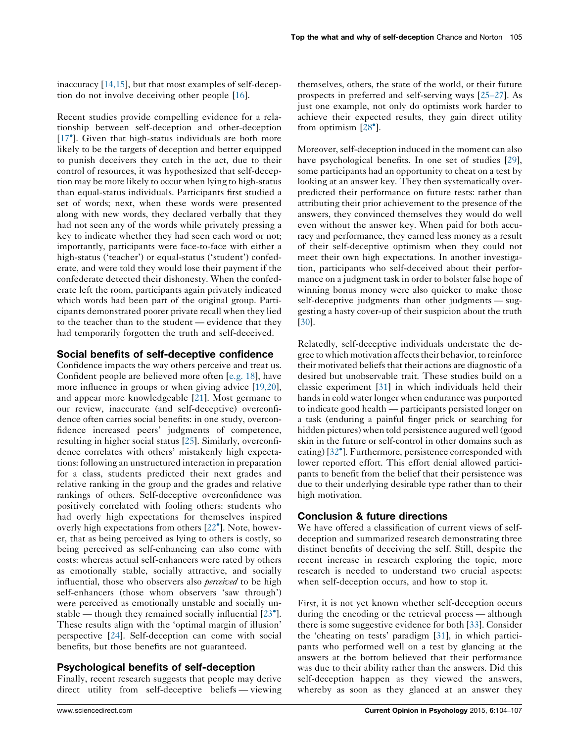inaccuracy [\[14,15\]](#page-2-0), but that most examples of self-deception do not involve deceiving other people [[16\]](#page-2-0).

Recent studies provide compelling evidence for a relationship between self-deception and other-deception [\[17](#page-2-0)<sup>°</sup>]. Given that high-status individuals are both more likely to be the targets of deception and better equipped to punish deceivers they catch in the act, due to their control of resources, it was hypothesized that self-deception may be more likely to occur when lying to high-status than equal-status individuals. Participants first studied a set of words; next, when these words were presented along with new words, they declared verbally that they had not seen any of the words while privately pressing a key to indicate whether they had seen each word or not; importantly, participants were face-to-face with either a high-status ('teacher') or equal-status ('student') confederate, and were told they would lose their payment if the confederate detected their dishonesty. When the confederate left the room, participants again privately indicated which words had been part of the original group. Participants demonstrated poorer private recall when they lied to the teacher than to the student — evidence that they had temporarily forgotten the truth and self-deceived.

### Social benefits of self-deceptive confidence

Confidence impacts the way others perceive and treat us. Confident people are believed more often [[e.g.](#page-2-0) 18], have more influence in groups or when giving advice [[19,20](#page-2-0)], and appear more knowledgeable [\[21](#page-2-0)]. Most germane to our review, inaccurate (and self-deceptive) overconfidence often carries social benefits: in one study, overconfidence increased peers' judgments of competence, resulting in higher social status [[25\]](#page-2-0). Similarly, overconfidence correlates with others' mistakenly high expectations: following an unstructured interaction in preparation for a class, students predicted their next grades and relative ranking in the group and the grades and relative rankings of others. Self-deceptive overconfidence was positively correlated with fooling others: students who had overly high expectations for themselves inspired overly high expectations from others [\[22](#page-2-0)<sup>°</sup>]. Note, however, that as being perceived as lying to others is costly, so being perceived as self-enhancing can also come with costs: whereas actual self-enhancers were rated by others as emotionally stable, socially attractive, and socially influential, those who observers also *perceived* to be high self-enhancers (those whom observers 'saw through') were perceived as emotionally unstable and socially unstable — though they remained socially influential  $[23^{\circ}]$  $[23^{\circ}]$  $[23^{\circ}]$ . These results align with the 'optimal margin of illusion' perspective [\[24](#page-2-0)]. Self-deception can come with social benefits, but those benefits are not guaranteed.

#### Psychological benefits of self-deception

Finally, recent research suggests that people may derive direct utility from self-deceptive beliefs — viewing

themselves, others, the state of the world, or their future prospects in preferred and self-serving ways [25–[27\]](#page-2-0). As just one example, not only do optimists work harder to achieve their expected results, they gain direct utility from optimism  $\left[28^{\circ}\right]$  $\left[28^{\circ}\right]$  $\left[28^{\circ}\right]$ .

Moreover, self-deception induced in the moment can also have psychological benefits. In one set of studies [[29\]](#page-2-0), some participants had an opportunity to cheat on a test by looking at an answer key. They then systematically overpredicted their performance on future tests: rather than attributing their prior achievement to the presence of the answers, they convinced themselves they would do well even without the answer key. When paid for both accuracy and performance, they earned less money as a result of their self-deceptive optimism when they could not meet their own high expectations. In another investigation, participants who self-deceived about their performance on a judgment task in order to bolster false hope of winning bonus money were also quicker to make those self-deceptive judgments than other judgments — suggesting a hasty cover-up of their suspicion about the truth [[30](#page-3-0)].

Relatedly, self-deceptive individuals understate the degree to which motivation affects their behavior, to reinforce their motivated beliefs that their actions are diagnostic of a desired but unobservable trait. These studies build on a classic experiment [\[31\]](#page-3-0) in which individuals held their hands in cold water longer when endurance was purported to indicate good health — participants persisted longer on a task (enduring a painful finger prick or searching for hidden pictures) when told persistence augured well (good skin in the future or self-control in other domains such as eating) [[32](#page-3-0)<sup>°</sup>]. Furthermore, persistence corresponded with lower reported effort. This effort denial allowed participants to benefit from the belief that their persistence was due to their underlying desirable type rather than to their high motivation.

## Conclusion & future directions

We have offered a classification of current views of selfdeception and summarized research demonstrating three distinct benefits of deceiving the self. Still, despite the recent increase in research exploring the topic, more research is needed to understand two crucial aspects: when self-deception occurs, and how to stop it.

First, it is not yet known whether self-deception occurs during the encoding or the retrieval process — although there is some suggestive evidence for both [\[33](#page-3-0)]. Consider the 'cheating on tests' paradigm [[31\]](#page-3-0), in which participants who performed well on a test by glancing at the answers at the bottom believed that their performance was due to their ability rather than the answers. Did this self-deception happen as they viewed the answers, whereby as soon as they glanced at an answer they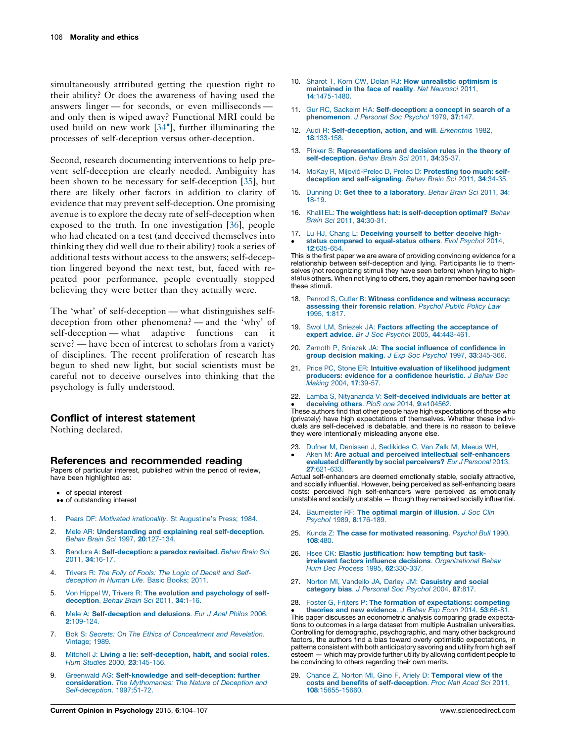<span id="page-2-0"></span>simultaneously attributed getting the question right to their ability? Or does the awareness of having used the answers linger — for seconds, or even milliseconds and only then is wiped away? Functional MRI could be used build on new work [[34](#page-3-0)<sup>°</sup>], further illuminating the processes of self-deception versus other-deception.

Second, research documenting interventions to help prevent self-deception are clearly needed. Ambiguity has been shown to be necessary for self-deception [[35](#page-3-0)], but there are likely other factors in addition to clarity of evidence that may prevent self-deception. One promising avenue is to explore the decay rate of self-deception when exposed to the truth. In one investigation [\[36](#page-3-0)], people who had cheated on a test (and deceived themselves into thinking they did well due to their ability) took a series of additional tests without access to the answers; self-deception lingered beyond the next test, but, faced with repeated poor performance, people eventually stopped believing they were better than they actually were.

The 'what' of self-deception — what distinguishes selfdeception from other phenomena? — and the 'why' of self-deception — what adaptive functions can it serve? — have been of interest to scholars from a variety of disciplines. The recent proliferation of research has begun to shed new light, but social scientists must be careful not to deceive ourselves into thinking that the psychology is fully understood.

#### Conflict of interest statement

Nothing declared.

#### References and recommended reading

Papers of particular interest, published within the period of review, have been highlighted as:

- of special interest
- •• of outstanding interest
- 1. Pears DF: Motivated irrationality. St [Augustine's](http://refhub.elsevier.com/S2352-250X(15)00186-4/sbref0355) Press; 1984.
- 2. Mele AR: [Understanding](http://refhub.elsevier.com/S2352-250X(15)00186-4/sbref0185) and explaining real self-deception. Behav Brain Sci 1997, 20[:127-134.](http://refhub.elsevier.com/S2352-250X(15)00186-4/sbref0185)
- 3. Bandura A: [Self-deception:](http://refhub.elsevier.com/S2352-250X(15)00186-4/sbref0190) a paradox revisited. Behav Brain Sci 2011, 34[:16-17.](http://refhub.elsevier.com/S2352-250X(15)00186-4/sbref0190)
- 4. [Trivers](http://refhub.elsevier.com/S2352-250X(15)00186-4/sbref0195) R: The Folly of Fools: The Logic of Deceit and Self[deception](http://refhub.elsevier.com/S2352-250X(15)00186-4/sbref0195) in Human Life. Basic Books; 2011.
- 5. Von Hippel W, Trivers R: The evolution and [psychology](http://refhub.elsevier.com/S2352-250X(15)00186-4/sbref0200) of self[deception](http://refhub.elsevier.com/S2352-250X(15)00186-4/sbref0200). Behav Brain Sci 2011, 34:1-16.
- 6. Mele A: [Self-deception](http://refhub.elsevier.com/S2352-250X(15)00186-4/sbref0205) and delusions. Eur J Anal Philos 2006, 2[:109-124.](http://refhub.elsevier.com/S2352-250X(15)00186-4/sbref0205)
- 7. Bok S: Secrets: On The Ethics of [Concealment](http://refhub.elsevier.com/S2352-250X(15)00186-4/sbref0210) and Revelation. [Vintage;](http://refhub.elsevier.com/S2352-250X(15)00186-4/sbref0210) 1989.
- 8. Mitchell J: Living a lie: [self-deception,](http://refhub.elsevier.com/S2352-250X(15)00186-4/sbref0215) habit, and social roles. Hum Studies 2000, 23[:145-156.](http://refhub.elsevier.com/S2352-250X(15)00186-4/sbref0215)
- 9. Greenwald AG: [Self-knowledge](http://refhub.elsevier.com/S2352-250X(15)00186-4/sbref0220) and self-deception: further [consideration](http://refhub.elsevier.com/S2352-250X(15)00186-4/sbref0220). The Mythomanias: The Nature of Deception and [Self-deception](http://refhub.elsevier.com/S2352-250X(15)00186-4/sbref0220). 1997:51-72.
- 10. Sharot T, Korn CW, Dolan RJ: How [unrealistic](http://refhub.elsevier.com/S2352-250X(15)00186-4/sbref0225) optimism is [maintained](http://refhub.elsevier.com/S2352-250X(15)00186-4/sbref0225) in the face of reality. Nat Neurosci 2011, 14[:1475-1480.](http://refhub.elsevier.com/S2352-250X(15)00186-4/sbref0225)
- 11. Gur RC, Sackeim HA: [Self-deception:](http://refhub.elsevier.com/S2352-250X(15)00186-4/sbref0230) a concept in search of a [phenomenon](http://refhub.elsevier.com/S2352-250X(15)00186-4/sbref0230). J Personal Soc Psychol 1979, 37:147.
- 12. Audi R: [Self-deception,](http://refhub.elsevier.com/S2352-250X(15)00186-4/sbref0235) action, and will. Erkenntnis 1982, 18[:133-158.](http://refhub.elsevier.com/S2352-250X(15)00186-4/sbref0235)
- 13. Pinker S: [Representations](http://refhub.elsevier.com/S2352-250X(15)00186-4/sbref0240) and decision rules in the theory of [self-deception](http://refhub.elsevier.com/S2352-250X(15)00186-4/sbref0240). Behav Brain Sci 2011, 34:35-37.
- 14. McKay R, Mijović-Prelec D, Prelec D: Protesting too much: selfdeception and [self-signaling](http://refhub.elsevier.com/S2352-250X(15)00186-4/sbref0245). Behav Brain Sci 2011, 34:34-35.
- 15. Dunning D: Get thee to a [laboratory](http://refhub.elsevier.com/S2352-250X(15)00186-4/sbref0250). Behav Brain Sci 2011, 34: [18-19.](http://refhub.elsevier.com/S2352-250X(15)00186-4/sbref0250)
- 16. Khalil EL: The weightless hat: is [self-deception](http://refhub.elsevier.com/S2352-250X(15)00186-4/sbref0255) optimal? Behav Brain Sci 2011, 34[:30-31.](http://refhub.elsevier.com/S2352-250X(15)00186-4/sbref0255)
- 17. Lu HJ, Chang L: [Deceiving](http://refhub.elsevier.com/S2352-250X(15)00186-4/sbref0260) yourself to better deceive high-status compared to [equal-status](http://refhub.elsevier.com/S2352-250X(15)00186-4/sbref0260) others. Evol Psychol 2014, 12[:635-654.](http://refhub.elsevier.com/S2352-250X(15)00186-4/sbref0260)

This is the first paper we are aware of providing convincing evidence for a relationship between self-deception and lying. Participants lie to themselves (not recognizing stimuli they have seen before) when lying to highstatus others. When not lying to others, they again remember having seen these stimuli.

- 18. Penrod S, Cutler B: Witness [confidence](http://refhub.elsevier.com/S2352-250X(15)00186-4/sbref0265) and witness accuracy: [assessing](http://refhub.elsevier.com/S2352-250X(15)00186-4/sbref0265) their forensic relation. Psychol Public Policy Law [1995,](http://refhub.elsevier.com/S2352-250X(15)00186-4/sbref0265) 1:817.
- 19. Swol LM, Sniezek JA: Factors affecting the [acceptance](http://refhub.elsevier.com/S2352-250X(15)00186-4/sbref0270) of expert advice. Br J Soc Psychol 2005, 44[:443-461.](http://refhub.elsevier.com/S2352-250X(15)00186-4/sbref0270)
- 20. Zarnoth P, Sniezek JA: The social influence of [confidence](http://refhub.elsevier.com/S2352-250X(15)00186-4/sbref0275) in group decision making. J Exp Soc Psychol 1997, 33[:345-366.](http://refhub.elsevier.com/S2352-250X(15)00186-4/sbref0275)
- 21. Price PC, Stone ER: Intuitive [evaluation](http://refhub.elsevier.com/S2352-250X(15)00186-4/sbref0280) of likelihood judgment producers: evidence for a [confidence](http://refhub.elsevier.com/S2352-250X(15)00186-4/sbref0280) heuristic. J Behav Dec [Making](http://refhub.elsevier.com/S2352-250X(15)00186-4/sbref0280) 2004, 17:39-57.
- 22. Lamba S, Nityananda V: [Self-deceived](http://refhub.elsevier.com/S2352-250X(15)00186-4/sbref0285) individuals are better at [deceiving](http://refhub.elsevier.com/S2352-250X(15)00186-4/sbref0285) others. PloS one 2014, 9:e104562.

• deceiving others. PloS one 2014, 9:e104562.<br>These authors find that other people have high expectations of those who (privately) have high expectations of themselves. Whether these individuals are self-deceived is debatable, and there is no reason to believe they were intentionally misleading anyone else.

23. Dufner M, Denissen J, [Sedikides](http://refhub.elsevier.com/S2352-250X(15)00186-4/sbref0290) C, Van Zalk M, Meeus WH, -Aken M: Are actual and perceived intellectual [self-enhancers](http://refhub.elsevier.com/S2352-250X(15)00186-4/sbref0290) evaluated differently by social [perceivers?](http://refhub.elsevier.com/S2352-250X(15)00186-4/sbref0290) Eur J Personal 2013, 27[:621-633.](http://refhub.elsevier.com/S2352-250X(15)00186-4/sbref0290)

Actual self-enhancers are deemed emotionally stable, socially attractive, and socially influential. However, being perceived as self-enhancing bears costs: perceived high self-enhancers were perceived as emotionally unstable and socially unstable — though they remained socially influential.

- 24. [Baumeister](http://refhub.elsevier.com/S2352-250X(15)00186-4/sbref0295) RF: The optimal margin of illusion. J Soc Clin Psychol 1989, 8[:176-189.](http://refhub.elsevier.com/S2352-250X(15)00186-4/sbref0295)
- 25. Kunda Z: The case for [motivated](http://refhub.elsevier.com/S2352-250X(15)00186-4/sbref0300) reasoning. Psychol Bull 1990. 108[:480.](http://refhub.elsevier.com/S2352-250X(15)00186-4/sbref0300)
- 26. Hsee CK: Elastic [justification:](http://refhub.elsevier.com/S2352-250X(15)00186-4/sbref0305) how tempting but taskirrelevant factors influence decisions. [Organizational](http://refhub.elsevier.com/S2352-250X(15)00186-4/sbref0305) Behav Hum Dec Process 1995, 62[:330-337.](http://refhub.elsevier.com/S2352-250X(15)00186-4/sbref0305)
- 27. Norton MI, Vandello JA, Darley JM: [Casuistry](http://refhub.elsevier.com/S2352-250X(15)00186-4/sbref0310) and social [category](http://refhub.elsevier.com/S2352-250X(15)00186-4/sbref0310) bias. J Personal Soc Psychol 2004, 87:817.
- 28. Foster G, Frijters P: The formation of [expectations:](http://refhub.elsevier.com/S2352-250X(15)00186-4/sbref0315) competing

theories and new [evidence](http://refhub.elsevier.com/S2352-250X(15)00186-4/sbref0315). J Behav Exp Econ 2014, 53:66-81. This paper discusses an econometric analysis comparing grade expectations to outcomes in a large dataset from multiple Australian universities. Controlling for demographic, psychographic, and many other background factors, the authors find a bias toward overly optimistic expectations, in patterns consistent with both anticipatory savoring and utility from high self esteem — which may provide further utility by allowing confident people to be convincing to others regarding their own merits.

29. Chance Z, Norton MI, Gino F, Ariely D: [Temporal](http://refhub.elsevier.com/S2352-250X(15)00186-4/sbref0320) view of the costs and benefits of [self-deception](http://refhub.elsevier.com/S2352-250X(15)00186-4/sbref0320). Proc Natl Acad Sci 2011, 108[:15655-15660.](http://refhub.elsevier.com/S2352-250X(15)00186-4/sbref0320)